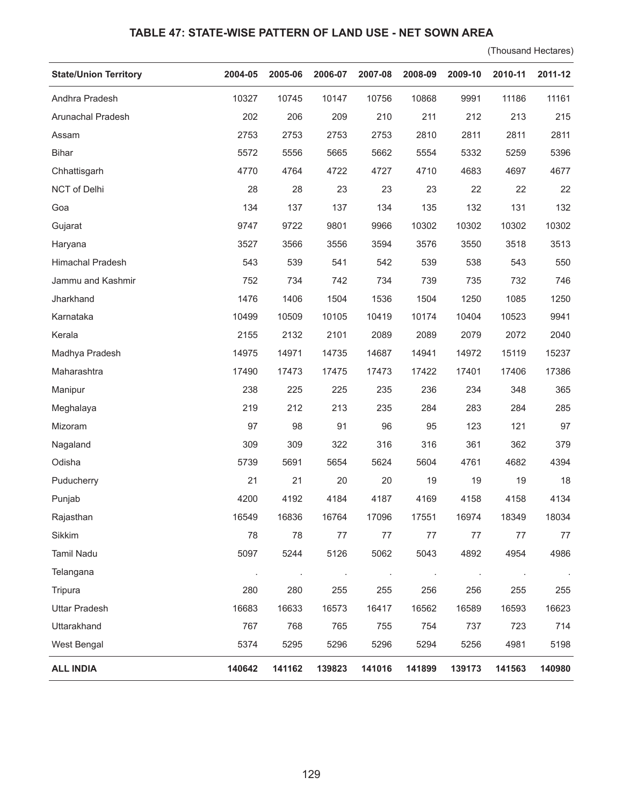## **TABLE 47: STATE-WISE PATTERN OF LAND USE - NET SOWN AREA**

(Thousand Hectares)

| <b>State/Union Territory</b> | 2004-05 | 2005-06 | 2006-07 | 2007-08 | 2008-09 | 2009-10 | 2010-11 | 2011-12 |
|------------------------------|---------|---------|---------|---------|---------|---------|---------|---------|
| Andhra Pradesh               | 10327   | 10745   | 10147   | 10756   | 10868   | 9991    | 11186   | 11161   |
| Arunachal Pradesh            | 202     | 206     | 209     | 210     | 211     | 212     | 213     | 215     |
| Assam                        | 2753    | 2753    | 2753    | 2753    | 2810    | 2811    | 2811    | 2811    |
| <b>Bihar</b>                 | 5572    | 5556    | 5665    | 5662    | 5554    | 5332    | 5259    | 5396    |
| Chhattisgarh                 | 4770    | 4764    | 4722    | 4727    | 4710    | 4683    | 4697    | 4677    |
| NCT of Delhi                 | 28      | 28      | 23      | 23      | 23      | 22      | 22      | 22      |
| Goa                          | 134     | 137     | 137     | 134     | 135     | 132     | 131     | 132     |
| Gujarat                      | 9747    | 9722    | 9801    | 9966    | 10302   | 10302   | 10302   | 10302   |
| Haryana                      | 3527    | 3566    | 3556    | 3594    | 3576    | 3550    | 3518    | 3513    |
| Himachal Pradesh             | 543     | 539     | 541     | 542     | 539     | 538     | 543     | 550     |
| Jammu and Kashmir            | 752     | 734     | 742     | 734     | 739     | 735     | 732     | 746     |
| Jharkhand                    | 1476    | 1406    | 1504    | 1536    | 1504    | 1250    | 1085    | 1250    |
| Karnataka                    | 10499   | 10509   | 10105   | 10419   | 10174   | 10404   | 10523   | 9941    |
| Kerala                       | 2155    | 2132    | 2101    | 2089    | 2089    | 2079    | 2072    | 2040    |
| Madhya Pradesh               | 14975   | 14971   | 14735   | 14687   | 14941   | 14972   | 15119   | 15237   |
| Maharashtra                  | 17490   | 17473   | 17475   | 17473   | 17422   | 17401   | 17406   | 17386   |
| Manipur                      | 238     | 225     | 225     | 235     | 236     | 234     | 348     | 365     |
| Meghalaya                    | 219     | 212     | 213     | 235     | 284     | 283     | 284     | 285     |
| Mizoram                      | 97      | 98      | 91      | 96      | 95      | 123     | 121     | 97      |
| Nagaland                     | 309     | 309     | 322     | 316     | 316     | 361     | 362     | 379     |
| Odisha                       | 5739    | 5691    | 5654    | 5624    | 5604    | 4761    | 4682    | 4394    |
| Puducherry                   | 21      | 21      | 20      | 20      | 19      | 19      | 19      | 18      |
| Punjab                       | 4200    | 4192    | 4184    | 4187    | 4169    | 4158    | 4158    | 4134    |
| Rajasthan                    | 16549   | 16836   | 16764   | 17096   | 17551   | 16974   | 18349   | 18034   |
| Sikkim                       | 78      | 78      | 77      | 77      | 77      | 77      | 77      | 77      |
| Tamil Nadu                   | 5097    | 5244    | 5126    | 5062    | 5043    | 4892    | 4954    | 4986    |
| Telangana                    |         |         | $\cdot$ | $\cdot$ | $\cdot$ | $\cdot$ |         | $\sim$  |
| Tripura                      | 280     | 280     | 255     | 255     | 256     | 256     | 255     | 255     |
| <b>Uttar Pradesh</b>         | 16683   | 16633   | 16573   | 16417   | 16562   | 16589   | 16593   | 16623   |
| Uttarakhand                  | 767     | 768     | 765     | 755     | 754     | 737     | 723     | 714     |
| West Bengal                  | 5374    | 5295    | 5296    | 5296    | 5294    | 5256    | 4981    | 5198    |
| <b>ALL INDIA</b>             | 140642  | 141162  | 139823  | 141016  | 141899  | 139173  | 141563  | 140980  |